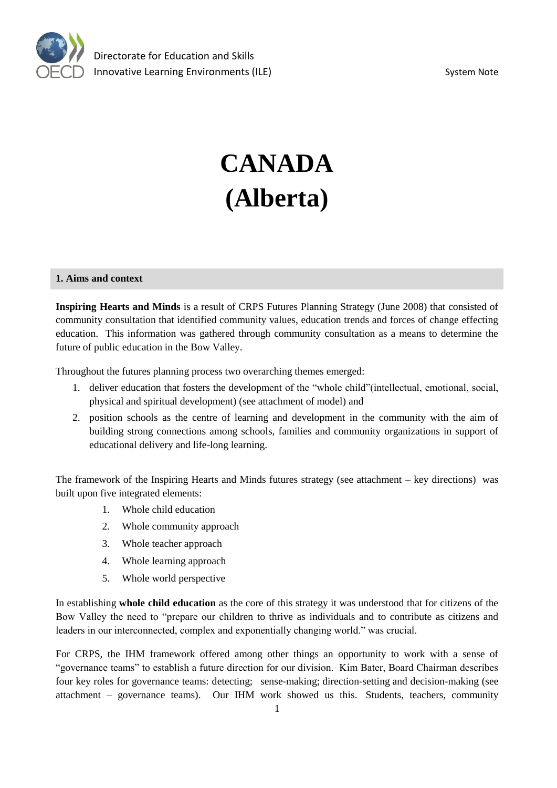

# **CANADA (Alberta)**

#### **1. Aims and context**

**Inspiring Hearts and Minds** is a result of CRPS Futures Planning Strategy (June 2008) that consisted of community consultation that identified community values, education trends and forces of change effecting education. This information was gathered through community consultation as a means to determine the future of public education in the Bow Valley.

Throughout the futures planning process two overarching themes emerged:

- 1. deliver education that fosters the development of the "whole child"(intellectual, emotional, social, physical and spiritual development) (see attachment of model) and
- 2. position schools as the centre of learning and development in the community with the aim of building strong connections among schools, families and community organizations in support of educational delivery and life-long learning.

The framework of the Inspiring Hearts and Minds futures strategy (see attachment – key directions) was built upon five integrated elements:

- 1. Whole child education
- 2. Whole community approach
- 3. Whole teacher approach
- 4. Whole learning approach
- 5. Whole world perspective

In establishing **whole child education** as the core of this strategy it was understood that for citizens of the Bow Valley the need to "prepare our children to thrive as individuals and to contribute as citizens and leaders in our interconnected, complex and exponentially changing world." was crucial.

For CRPS, the IHM framework offered among other things an opportunity to work with a sense of "governance teams" to establish a future direction for our division. Kim Bater, Board Chairman describes four key roles for governance teams: detecting; sense-making; direction-setting and decision-making (see attachment – governance teams). Our IHM work showed us this. Students, teachers, community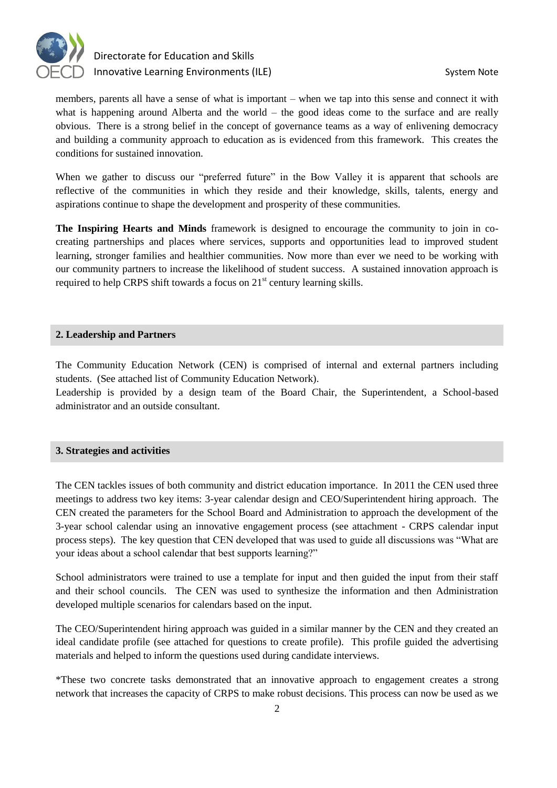

# Directorate for Education and Skills Innovative Learning Environments (ILE) System Note

members, parents all have a sense of what is important – when we tap into this sense and connect it with what is happening around Alberta and the world – the good ideas come to the surface and are really obvious. There is a strong belief in the concept of governance teams as a way of enlivening democracy and building a community approach to education as is evidenced from this framework. This creates the conditions for sustained innovation.

When we gather to discuss our "preferred future" in the Bow Valley it is apparent that schools are reflective of the communities in which they reside and their knowledge, skills, talents, energy and aspirations continue to shape the development and prosperity of these communities.

**The Inspiring Hearts and Minds** framework is designed to encourage the community to join in cocreating partnerships and places where services, supports and opportunities lead to improved student learning, stronger families and healthier communities. Now more than ever we need to be working with our community partners to increase the likelihood of student success. A sustained innovation approach is required to help CRPS shift towards a focus on  $21<sup>st</sup>$  century learning skills.

# **2. Leadership and Partners**

The Community Education Network (CEN) is comprised of internal and external partners including students. (See attached list of Community Education Network).

Leadership is provided by a design team of the Board Chair, the Superintendent, a School-based administrator and an outside consultant.

# **3. Strategies and activities**

The CEN tackles issues of both community and district education importance. In 2011 the CEN used three meetings to address two key items: 3-year calendar design and CEO/Superintendent hiring approach. The CEN created the parameters for the School Board and Administration to approach the development of the 3-year school calendar using an innovative engagement process (see attachment - CRPS calendar input process steps). The key question that CEN developed that was used to guide all discussions was "What are your ideas about a school calendar that best supports learning?"

School administrators were trained to use a template for input and then guided the input from their staff and their school councils. The CEN was used to synthesize the information and then Administration developed multiple scenarios for calendars based on the input.

The CEO/Superintendent hiring approach was guided in a similar manner by the CEN and they created an ideal candidate profile (see attached for questions to create profile). This profile guided the advertising materials and helped to inform the questions used during candidate interviews.

\*These two concrete tasks demonstrated that an innovative approach to engagement creates a strong network that increases the capacity of CRPS to make robust decisions. This process can now be used as we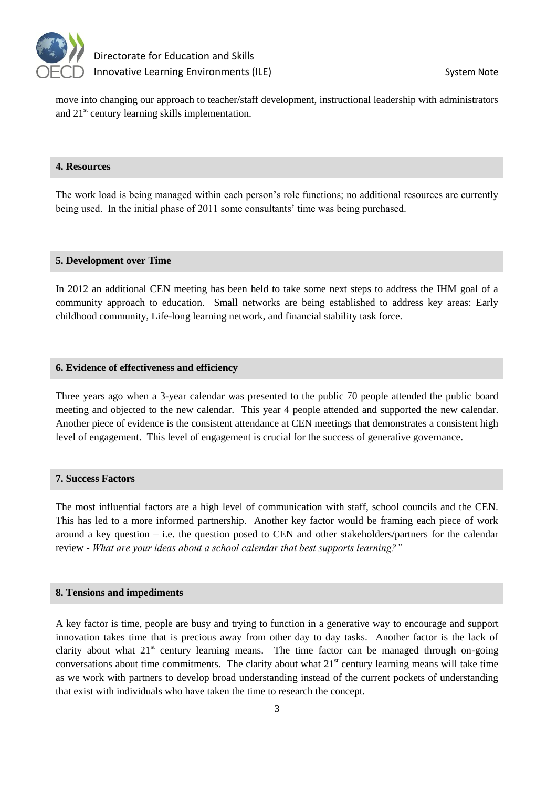

move into changing our approach to teacher/staff development, instructional leadership with administrators and 21<sup>st</sup> century learning skills implementation.

# **4. Resources**

The work load is being managed within each person's role functions; no additional resources are currently being used. In the initial phase of 2011 some consultants' time was being purchased.

#### **5. Development over Time**

In 2012 an additional CEN meeting has been held to take some next steps to address the IHM goal of a community approach to education. Small networks are being established to address key areas: Early childhood community, Life-long learning network, and financial stability task force.

#### **6. Evidence of effectiveness and efficiency**

Three years ago when a 3-year calendar was presented to the public 70 people attended the public board meeting and objected to the new calendar. This year 4 people attended and supported the new calendar. Another piece of evidence is the consistent attendance at CEN meetings that demonstrates a consistent high level of engagement. This level of engagement is crucial for the success of generative governance.

### **7. Success Factors**

The most influential factors are a high level of communication with staff, school councils and the CEN. This has led to a more informed partnership. Another key factor would be framing each piece of work around a key question – i.e. the question posed to CEN and other stakeholders/partners for the calendar review - *What are your ideas about a school calendar that best supports learning?"*

# **8. Tensions and impediments**

A key factor is time, people are busy and trying to function in a generative way to encourage and support innovation takes time that is precious away from other day to day tasks. Another factor is the lack of clarity about what  $21<sup>st</sup>$  century learning means. The time factor can be managed through on-going conversations about time commitments. The clarity about what  $21<sup>st</sup>$  century learning means will take time as we work with partners to develop broad understanding instead of the current pockets of understanding that exist with individuals who have taken the time to research the concept.